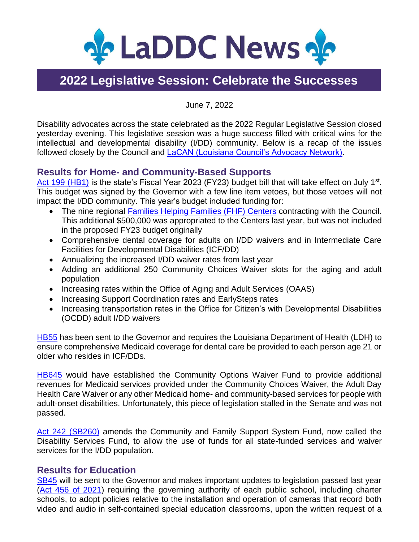

# **2022 Legislative Session: Celebrate the Successes**

June 7, 2022

Disability advocates across the state celebrated as the 2022 Regular Legislative Session closed yesterday evening. This legislative session was a huge success filled with critical wins for the intellectual and developmental disability (I/DD) community. Below is a recap of the issues followed closely by the Council and [LaCAN \(Louisiana Council's Advocacy Network\).](https://laddc.org/initiatives/community-living-and-self-determination/community-supports/current-initiatives/lacan/)

## **Results for Home- and Community-Based Supports**

[Act 199](https://www.legis.la.gov/legis/BillInfo.aspx?i=241980) (HB1) is the state's Fiscal Year 2023 (FY23) budget bill that will take effect on July 1<sup>st</sup>. This budget was signed by the Governor with a few line item vetoes, but those vetoes will not impact the I/DD community. This year's budget included funding for:

- The nine regional [Families Helping Families \(FHF\)](https://laddc.org/initiatives/community-living-and-self-determination/community-supports/current-initiatives/families-helping-families/) Centers contracting with the Council. This additional \$500,000 was appropriated to the Centers last year, but was not included in the proposed FY23 budget originally
- Comprehensive dental coverage for adults on I/DD waivers and in Intermediate Care Facilities for Developmental Disabilities (ICF/DD)
- Annualizing the increased I/DD waiver rates from last year
- Adding an additional 250 Community Choices Waiver slots for the aging and adult population
- Increasing rates within the Office of Aging and Adult Services (OAAS)
- Increasing Support Coordination rates and EarlySteps rates
- Increasing transportation rates in the Office for Citizen's with Developmental Disabilities (OCDD) adult I/DD waivers

[HB55](https://www.legis.la.gov/legis/BillInfo.aspx?i=241563) has been sent to the Governor and requires the Louisiana Department of Health (LDH) to ensure comprehensive Medicaid coverage for dental care be provided to each person age 21 or older who resides in ICF/DDs.

[HB645](https://www.legis.la.gov/legis/BillInfo.aspx?i=242453) would have established the Community Options Waiver Fund to provide additional revenues for Medicaid services provided under the Community Choices Waiver, the Adult Day Health Care Waiver or any other Medicaid home- and community-based services for people with adult-onset disabilities. Unfortunately, this piece of legislation stalled in the Senate and was not passed.

[Act 242 \(SB260\)](https://www.legis.la.gov/legis/BillInfo.aspx?s=22RS&b=SB260&sbi=y) amends the Community and Family Support System Fund, now called the Disability Services Fund, to allow the use of funds for all state-funded services and waiver services for the I/DD population.

## **Results for Education**

[SB45](https://www.legis.la.gov/legis/BillInfo.aspx?i=241633) will be sent to the Governor and makes important updates to legislation passed last year [\(Act 456 of 2021\)](https://www.legis.la.gov/legis/ViewDocument.aspx?d=1236004) requiring the governing authority of each public school, including charter schools, to adopt policies relative to the installation and operation of cameras that record both video and audio in self-contained special education classrooms, upon the written request of a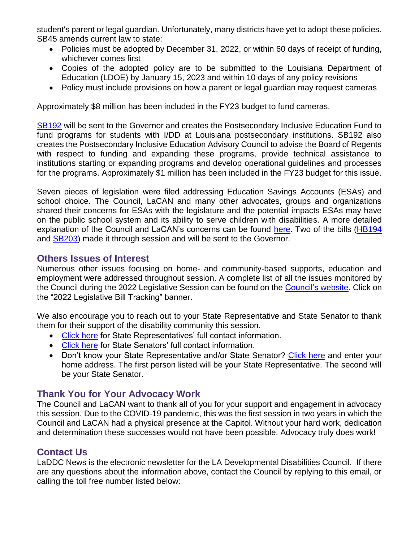student's parent or legal guardian. Unfortunately, many districts have yet to adopt these policies. SB45 amends current law to state:

- Policies must be adopted by December 31, 2022, or within 60 days of receipt of funding, whichever comes first
- Copies of the adopted policy are to be submitted to the Louisiana Department of Education (LDOE) by January 15, 2023 and within 10 days of any policy revisions
- Policy must include provisions on how a parent or legal guardian may request cameras

Approximately \$8 million has been included in the FY23 budget to fund cameras.

[SB192](https://www.legis.la.gov/legis/BillInfo.aspx?i=242133) will be sent to the Governor and creates the Postsecondary Inclusive Education Fund to fund programs for students with I/DD at Louisiana postsecondary institutions. SB192 also creates the Postsecondary Inclusive Education Advisory Council to advise the Board of Regents with respect to funding and expanding these programs, provide technical assistance to institutions starting or expanding programs and develop operational guidelines and processes for the programs. Approximately \$1 million has been included in the FY23 budget for this issue.

Seven pieces of legislation were filed addressing Education Savings Accounts (ESAs) and school choice. The Council, LaCAN and many other advocates, groups and organizations shared their concerns for ESAs with the legislature and the potential impacts ESAs may have on the public school system and its ability to serve children with disabilities. A more detailed explanation of the Council and LaCAN's concerns can be found [here.](https://laddc.org/wp-content/uploads/2022/04/LaCAN-AA9-ESA-and-Impacts-on-Students-with-Disabilities-4.23.22.pdf) Two of the bills [\(HB194](https://www.legis.la.gov/legis/BillInfo.aspx?i=241764) and **SB203**) made it through session and will be sent to the Governor.

#### **Others Issues of Interest**

Numerous other issues focusing on home- and community-based supports, education and employment were addressed throughout session. A complete list of all the issues monitored by the Council during the 2022 Legislative Session can be found on the [Council's website.](https://laddc.org/) Click on the "2022 Legislative Bill Tracking" banner.

We also encourage you to reach out to your State Representative and State Senator to thank them for their support of the disability community this session.

- [Click here](https://house.louisiana.gov/H_Reps/H_Reps_FullInfo) for State Representatives' full contact information.
- [Click here](https://senate.la.gov/Senators_FullInfo) for State Senators' full contact information.
- Don't know your State Representative and/or State Senator? [Click here](https://www.legis.la.gov/legis/FindMyLegislators.aspx) and enter your home address. The first person listed will be your State Representative. The second will be your State Senator.

## **Thank You for Your Advocacy Work**

The Council and LaCAN want to thank all of you for your support and engagement in advocacy this session. Due to the COVID-19 pandemic, this was the first session in two years in which the Council and LaCAN had a physical presence at the Capitol. Without your hard work, dedication and determination these successes would not have been possible. Advocacy truly does work!

## **Contact Us**

LaDDC News is the electronic newsletter for the LA Developmental Disabilities Council. If there are any questions about the information above, contact the Council by replying to this email, or calling the toll free number listed below: